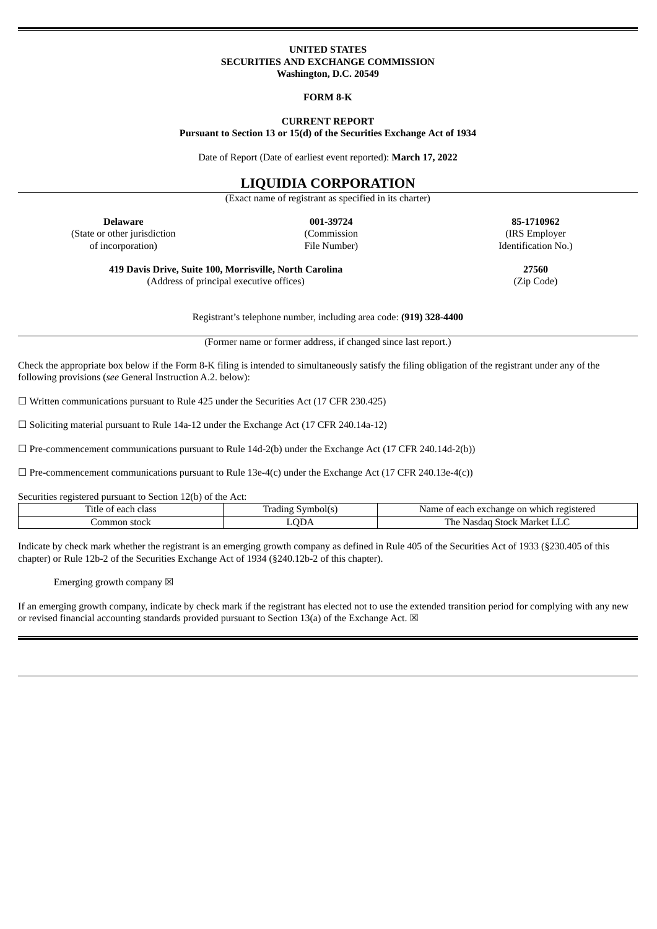#### **UNITED STATES SECURITIES AND EXCHANGE COMMISSION Washington, D.C. 20549**

#### **FORM 8-K**

#### **CURRENT REPORT Pursuant to Section 13 or 15(d) of the Securities Exchange Act of 1934**

Date of Report (Date of earliest event reported): **March 17, 2022**

#### **LIQUIDIA CORPORATION**

(Exact name of registrant as specified in its charter)

(State or other jurisdiction of incorporation)

(Commission File Number)

**Delaware 001-39724 85-1710962** (IRS Employer Identification No.)

**419 Davis Drive, Suite 100, Morrisville, North Carolina 27560** (Address of principal executive offices) (Zip Code)

Registrant's telephone number, including area code: **(919) 328-4400**

(Former name or former address, if changed since last report.)

Check the appropriate box below if the Form 8-K filing is intended to simultaneously satisfy the filing obligation of the registrant under any of the following provisions (*see* General Instruction A.2. below):

 $\Box$  Written communications pursuant to Rule 425 under the Securities Act (17 CFR 230.425)

☐ Soliciting material pursuant to Rule 14a-12 under the Exchange Act (17 CFR 240.14a-12)

 $\square$  Pre-commencement communications pursuant to Rule 14d-2(b) under the Exchange Act (17 CFR 240.14d-2(b))

 $\Box$  Pre-commencement communications pursuant to Rule 13e-4(c) under the Exchange Act (17 CFR 240.13e-4(c))

Securities registered pursuant to Section 12(b) of the Act:

| —<br>ritle<br>ا مدہ<br>----<br>ciass<br>ωL<br>∹הנ | ع الہ،<br>dıng<br>$-$<br>ില<br>$\sim$ $\sim$ $\sim$ | registered ا<br>$\alpha v c r$<br>Name<br>. വ<br>rhange<br>eac<br>whic<br>ו דיו<br>$\Lambda$ |
|---------------------------------------------------|-----------------------------------------------------|----------------------------------------------------------------------------------------------|
| stock<br>ommo.                                    | CD <sub>F</sub>                                     | The<br>Stock Market<br>$\mathbf{v}$<br>Nasda                                                 |

Indicate by check mark whether the registrant is an emerging growth company as defined in Rule 405 of the Securities Act of 1933 (§230.405 of this chapter) or Rule 12b-2 of the Securities Exchange Act of 1934 (§240.12b-2 of this chapter).

Emerging growth company  $\boxtimes$ 

If an emerging growth company, indicate by check mark if the registrant has elected not to use the extended transition period for complying with any new or revised financial accounting standards provided pursuant to Section 13(a) of the Exchange Act.  $\boxtimes$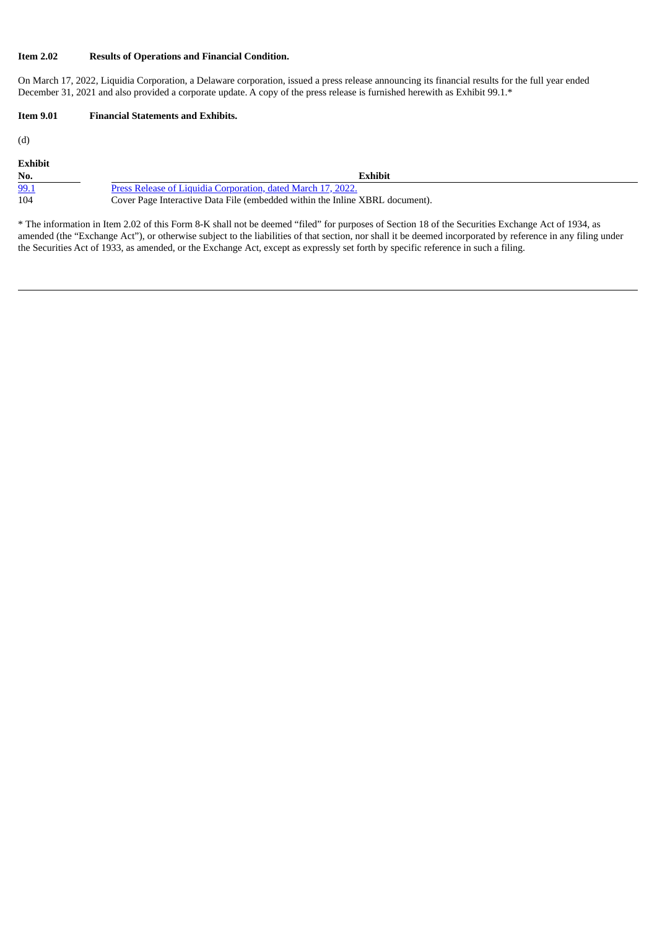#### **Item 2.02 Results of Operations and Financial Condition.**

On March 17, 2022, Liquidia Corporation, a Delaware corporation, issued a press release announcing its financial results for the full year ended December 31, 2021 and also provided a corporate update. A copy of the press release is furnished herewith as Exhibit 99.1.\*

# **Item 9.01 Financial Statements and Exhibits.**

(d)

| Exhibit |                                                                              |
|---------|------------------------------------------------------------------------------|
| No.     | <b>Exhibit</b>                                                               |
| 99.1    | Press Release of Liquidia Corporation, dated March 17, 2022.                 |
| 104     | Cover Page Interactive Data File (embedded within the Inline XBRL document). |

\* The information in Item 2.02 of this Form 8-K shall not be deemed "filed" for purposes of Section 18 of the Securities Exchange Act of 1934, as amended (the "Exchange Act"), or otherwise subject to the liabilities of that section, nor shall it be deemed incorporated by reference in any filing under the Securities Act of 1933, as amended, or the Exchange Act, except as expressly set forth by specific reference in such a filing.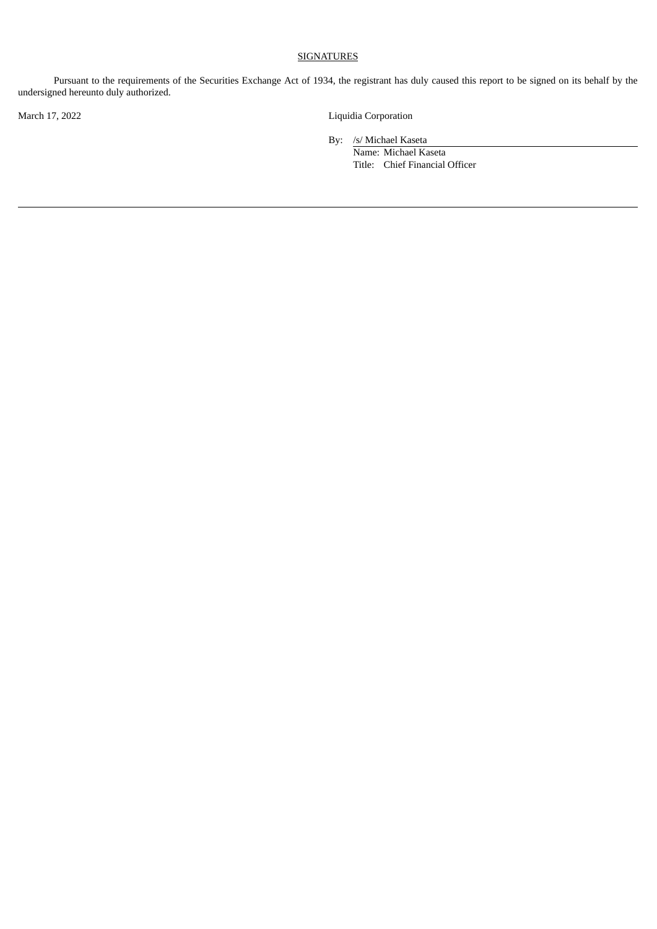# **SIGNATURES**

Pursuant to the requirements of the Securities Exchange Act of 1934, the registrant has duly caused this report to be signed on its behalf by the undersigned hereunto duly authorized.

March 17, 2022 Liquidia Corporation

By: /s/ Michael Kaseta

Name: Michael Kaseta Title: Chief Financial Officer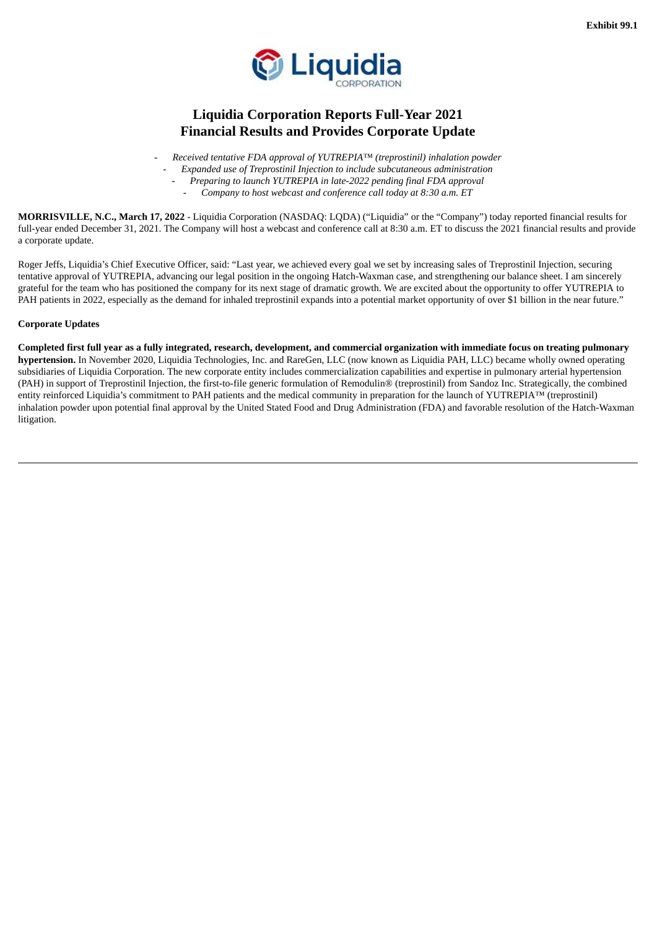

# <span id="page-3-0"></span>**Liquidia Corporation Reports Full-Year 2021 Financial Results and Provides Corporate Update**

- *Received tentative FDA approval of YUTREPIA™ (treprostinil) inhalation powder*

- *Expanded use of Treprostinil Injection to include subcutaneous administration*
	- *Preparing to launch YUTREPIA in late-2022 pending final FDA approval*
	- *Company to host webcast and conference call today at 8:30 a.m. ET*

**MORRISVILLE, N.C., March 17, 2022** - Liquidia Corporation (NASDAQ: LQDA) ("Liquidia" or the "Company") today reported financial results for full-year ended December 31, 2021. The Company will host a webcast and conference call at 8:30 a.m. ET to discuss the 2021 financial results and provide a corporate update.

Roger Jeffs, Liquidia's Chief Executive Officer, said: "Last year, we achieved every goal we set by increasing sales of Treprostinil Injection, securing tentative approval of YUTREPIA, advancing our legal position in the ongoing Hatch-Waxman case, and strengthening our balance sheet. I am sincerely grateful for the team who has positioned the company for its next stage of dramatic growth. We are excited about the opportunity to offer YUTREPIA to PAH patients in 2022, especially as the demand for inhaled treprostinil expands into a potential market opportunity of over \$1 billion in the near future."

#### **Corporate Updates**

Completed first full year as a fully integrated, research, development, and commercial organization with immediate focus on treating pulmonary **hypertension.** In November 2020, Liquidia Technologies, Inc. and RareGen, LLC (now known as Liquidia PAH, LLC) became wholly owned operating subsidiaries of Liquidia Corporation. The new corporate entity includes commercialization capabilities and expertise in pulmonary arterial hypertension (PAH) in support of Treprostinil Injection, the first-to-file generic formulation of Remodulin® (treprostinil) from Sandoz Inc. Strategically, the combined entity reinforced Liquidia's commitment to PAH patients and the medical community in preparation for the launch of YUTREPIA™ (treprostinil) inhalation powder upon potential final approval by the United Stated Food and Drug Administration (FDA) and favorable resolution of the Hatch-Waxman litigation.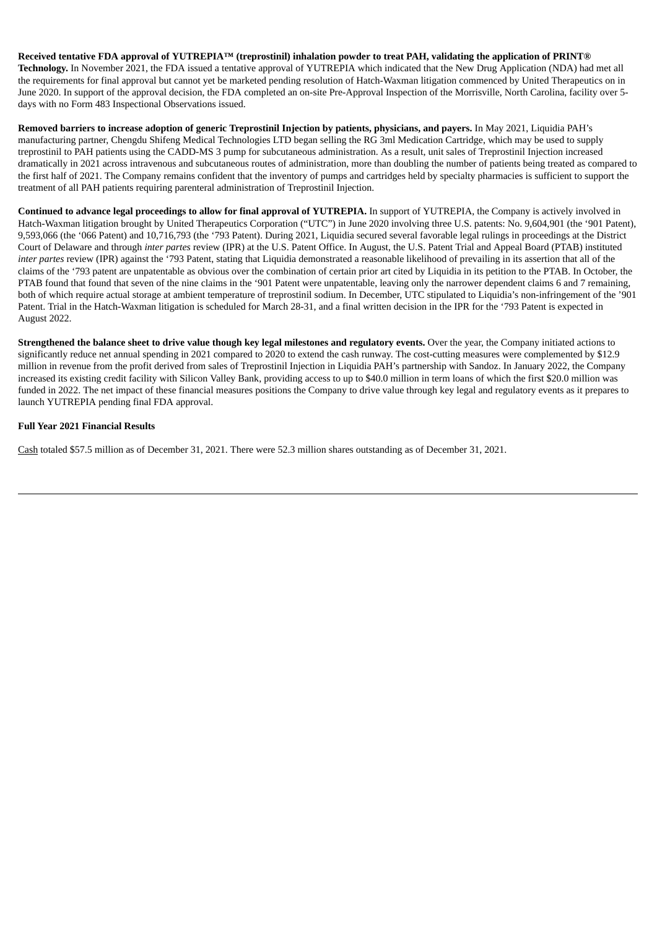#### Received tentative FDA approval of YUTREPIA™ (treprostinil) inhalation powder to treat PAH, validating the application of PRINT®

**Technology.** In November 2021, the FDA issued a tentative approval of YUTREPIA which indicated that the New Drug Application (NDA) had met all the requirements for final approval but cannot yet be marketed pending resolution of Hatch-Waxman litigation commenced by United Therapeutics on in June 2020. In support of the approval decision, the FDA completed an on-site Pre-Approval Inspection of the Morrisville, North Carolina, facility over 5 days with no Form 483 Inspectional Observations issued.

Removed barriers to increase adoption of generic Treprostinil Injection by patients, physicians, and payers. In May 2021, Liquidia PAH's manufacturing partner, Chengdu Shifeng Medical Technologies LTD began selling the RG 3ml Medication Cartridge, which may be used to supply treprostinil to PAH patients using the CADD-MS 3 pump for subcutaneous administration. As a result, unit sales of Treprostinil Injection increased dramatically in 2021 across intravenous and subcutaneous routes of administration, more than doubling the number of patients being treated as compared to the first half of 2021. The Company remains confident that the inventory of pumps and cartridges held by specialty pharmacies is sufficient to support the treatment of all PAH patients requiring parenteral administration of Treprostinil Injection.

**Continued to advance legal proceedings to allow for final approval of YUTREPIA.** In support of YUTREPIA, the Company is actively involved in Hatch-Waxman litigation brought by United Therapeutics Corporation ("UTC") in June 2020 involving three U.S. patents: No. 9,604,901 (the '901 Patent), 9,593,066 (the '066 Patent) and 10,716,793 (the '793 Patent). During 2021, Liquidia secured several favorable legal rulings in proceedings at the District Court of Delaware and through *inter partes* review (IPR) at the U.S. Patent Office. In August, the U.S. Patent Trial and Appeal Board (PTAB) instituted *inter partes* review (IPR) against the '793 Patent, stating that Liquidia demonstrated a reasonable likelihood of prevailing in its assertion that all of the claims of the '793 patent are unpatentable as obvious over the combination of certain prior art cited by Liquidia in its petition to the PTAB. In October, the PTAB found that found that seven of the nine claims in the '901 Patent were unpatentable, leaving only the narrower dependent claims 6 and 7 remaining, both of which require actual storage at ambient temperature of treprostinil sodium. In December, UTC stipulated to Liquidia's non-infringement of the '901 Patent. Trial in the Hatch-Waxman litigation is scheduled for March 28-31, and a final written decision in the IPR for the '793 Patent is expected in August 2022.

Strengthened the balance sheet to drive value though key legal milestones and regulatory events. Over the year, the Company initiated actions to significantly reduce net annual spending in 2021 compared to 2020 to extend the cash runway. The cost-cutting measures were complemented by \$12.9 million in revenue from the profit derived from sales of Treprostinil Injection in Liquidia PAH's partnership with Sandoz. In January 2022, the Company increased its existing credit facility with Silicon Valley Bank, providing access to up to \$40.0 million in term loans of which the first \$20.0 million was funded in 2022. The net impact of these financial measures positions the Company to drive value through key legal and regulatory events as it prepares to launch YUTREPIA pending final FDA approval.

#### **Full Year 2021 Financial Results**

Cash totaled \$57.5 million as of December 31, 2021. There were 52.3 million shares outstanding as of December 31, 2021.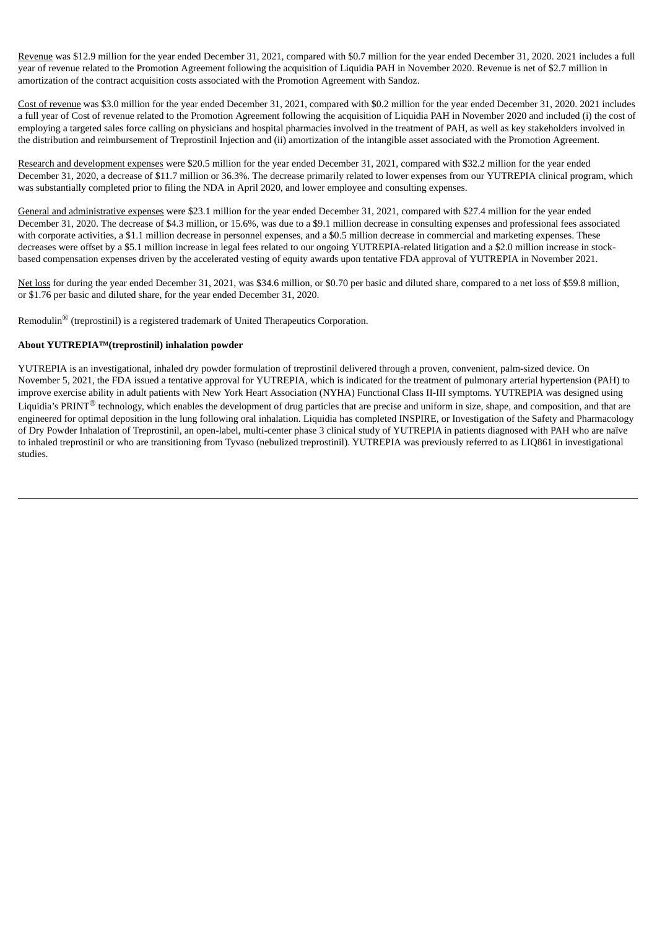Revenue was \$12.9 million for the year ended December 31, 2021, compared with \$0.7 million for the year ended December 31, 2020. 2021 includes a full year of revenue related to the Promotion Agreement following the acquisition of Liquidia PAH in November 2020. Revenue is net of \$2.7 million in amortization of the contract acquisition costs associated with the Promotion Agreement with Sandoz.

Cost of revenue was \$3.0 million for the year ended December 31, 2021, compared with \$0.2 million for the year ended December 31, 2020. 2021 includes a full year of Cost of revenue related to the Promotion Agreement following the acquisition of Liquidia PAH in November 2020 and included (i) the cost of employing a targeted sales force calling on physicians and hospital pharmacies involved in the treatment of PAH, as well as key stakeholders involved in the distribution and reimbursement of Treprostinil Injection and (ii) amortization of the intangible asset associated with the Promotion Agreement.

Research and development expenses were \$20.5 million for the year ended December 31, 2021, compared with \$32.2 million for the year ended December 31, 2020, a decrease of \$11.7 million or 36.3%. The decrease primarily related to lower expenses from our YUTREPIA clinical program, which was substantially completed prior to filing the NDA in April 2020, and lower employee and consulting expenses.

General and administrative expenses were \$23.1 million for the year ended December 31, 2021, compared with \$27.4 million for the year ended December 31, 2020. The decrease of \$4.3 million, or 15.6%, was due to a \$9.1 million decrease in consulting expenses and professional fees associated with corporate activities, a \$1.1 million decrease in personnel expenses, and a \$0.5 million decrease in commercial and marketing expenses. These decreases were offset by a \$5.1 million increase in legal fees related to our ongoing YUTREPIA-related litigation and a \$2.0 million increase in stockbased compensation expenses driven by the accelerated vesting of equity awards upon tentative FDA approval of YUTREPIA in November 2021.

Net loss for during the year ended December 31, 2021, was \$34.6 million, or \$0.70 per basic and diluted share, compared to a net loss of \$59.8 million, or \$1.76 per basic and diluted share, for the year ended December 31, 2020.

Remodulin® (treprostinil) is a registered trademark of United Therapeutics Corporation.

# **About YUTREPIA™(treprostinil) inhalation powder**

YUTREPIA is an investigational, inhaled dry powder formulation of treprostinil delivered through a proven, convenient, palm-sized device. On November 5, 2021, the FDA issued a tentative approval for YUTREPIA, which is indicated for the treatment of pulmonary arterial hypertension (PAH) to improve exercise ability in adult patients with New York Heart Association (NYHA) Functional Class II-III symptoms. YUTREPIA was designed using Liquidia's PRINT<sup>®</sup> technology, which enables the development of drug particles that are precise and uniform in size, shape, and composition, and that are engineered for optimal deposition in the lung following oral inhalation. Liquidia has completed INSPIRE, or Investigation of the Safety and Pharmacology of Dry Powder Inhalation of Treprostinil, an open-label, multi-center phase 3 clinical study of YUTREPIA in patients diagnosed with PAH who are naïve to inhaled treprostinil or who are transitioning from Tyvaso (nebulized treprostinil). YUTREPIA was previously referred to as LIQ861 in investigational studies.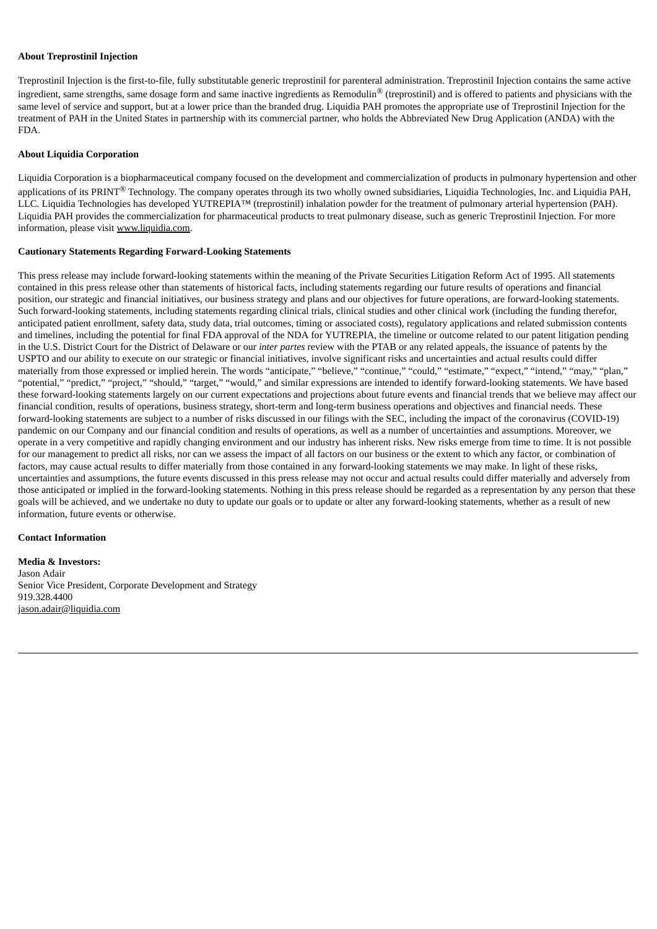#### **About Treprostinil Injection**

Treprostinil Injection is the first-to-file, fully substitutable generic treprostinil for parenteral administration. Treprostinil Injection contains the same active ingredient, same strengths, same dosage form and same inactive ingredients as Remodulin<sup>®</sup> (treprostinil) and is offered to patients and physicians with the same level of service and support, but at a lower price than the branded drug. Liquidia PAH promotes the appropriate use of Treprostinil Injection for the treatment of PAH in the United States in partnership with its commercial partner, who holds the Abbreviated New Drug Application (ANDA) with the FDA.

#### **About Liquidia Corporation**

Liquidia Corporation is a biopharmaceutical company focused on the development and commercialization of products in pulmonary hypertension and other applications of its PRINT<sup>®</sup> Technology. The company operates through its two wholly owned subsidiaries, Liquidia Technologies, Inc. and Liquidia PAH, LLC. Liquidia Technologies has developed YUTREPIA™ (treprostinil) inhalation powder for the treatment of pulmonary arterial hypertension (PAH). Liquidia PAH provides the commercialization for pharmaceutical products to treat pulmonary disease, such as generic Treprostinil Injection. For more information, please visit www.liquidia.com.

#### **Cautionary Statements Regarding Forward-Looking Statements**

This press release may include forward-looking statements within the meaning of the Private Securities Litigation Reform Act of 1995. All statements contained in this press release other than statements of historical facts, including statements regarding our future results of operations and financial position, our strategic and financial initiatives, our business strategy and plans and our objectives for future operations, are forward-looking statements. Such forward-looking statements, including statements regarding clinical trials, clinical studies and other clinical work (including the funding therefor, anticipated patient enrollment, safety data, study data, trial outcomes, timing or associated costs), regulatory applications and related submission contents and timelines, including the potential for final FDA approval of the NDA for YUTREPIA, the timeline or outcome related to our patent litigation pending in the U.S. District Court for the District of Delaware or our *inter partes* review with the PTAB or any related appeals, the issuance of patents by the USPTO and our ability to execute on our strategic or financial initiatives, involve significant risks and uncertainties and actual results could differ materially from those expressed or implied herein. The words "anticipate," "believe," "continue," "could," "estimate," "expect," "intend," "may," "plan," "potential," "predict," "project," "should," "target," "would," and similar expressions are intended to identify forward-looking statements. We have based these forward-looking statements largely on our current expectations and projections about future events and financial trends that we believe may affect our financial condition, results of operations, business strategy, short-term and long-term business operations and objectives and financial needs. These forward-looking statements are subject to a number of risks discussed in our filings with the SEC, including the impact of the coronavirus (COVID-19) pandemic on our Company and our financial condition and results of operations, as well as a number of uncertainties and assumptions. Moreover, we operate in a very competitive and rapidly changing environment and our industry has inherent risks. New risks emerge from time to time. It is not possible for our management to predict all risks, nor can we assess the impact of all factors on our business or the extent to which any factor, or combination of factors, may cause actual results to differ materially from those contained in any forward-looking statements we may make. In light of these risks, uncertainties and assumptions, the future events discussed in this press release may not occur and actual results could differ materially and adversely from those anticipated or implied in the forward-looking statements. Nothing in this press release should be regarded as a representation by any person that these goals will be achieved, and we undertake no duty to update our goals or to update or alter any forward-looking statements, whether as a result of new information, future events or otherwise.

#### **Contact Information**

**Media & Investors:** Jason Adair Senior Vice President, Corporate Development and Strategy 919.328.4400 jason.adair@liquidia.com